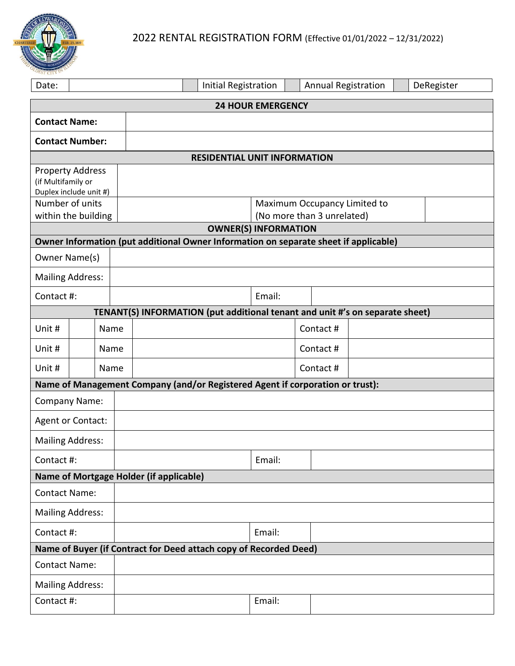

| Date:                                                                                |      |      |                             |                                                            | Initial Registration |        |  | <b>Annual Registration</b> |  | DeRegister |  |
|--------------------------------------------------------------------------------------|------|------|-----------------------------|------------------------------------------------------------|----------------------|--------|--|----------------------------|--|------------|--|
| <b>24 HOUR EMERGENCY</b>                                                             |      |      |                             |                                                            |                      |        |  |                            |  |            |  |
| <b>Contact Name:</b>                                                                 |      |      |                             |                                                            |                      |        |  |                            |  |            |  |
| <b>Contact Number:</b>                                                               |      |      |                             |                                                            |                      |        |  |                            |  |            |  |
| <b>RESIDENTIAL UNIT INFORMATION</b>                                                  |      |      |                             |                                                            |                      |        |  |                            |  |            |  |
| <b>Property Address</b><br>(if Multifamily or<br>Duplex include unit #)              |      |      |                             |                                                            |                      |        |  |                            |  |            |  |
| Number of units                                                                      |      |      |                             | Maximum Occupancy Limited to<br>(No more than 3 unrelated) |                      |        |  |                            |  |            |  |
| within the building                                                                  |      |      | <b>OWNER(S) INFORMATION</b> |                                                            |                      |        |  |                            |  |            |  |
| Owner Information (put additional Owner Information on separate sheet if applicable) |      |      |                             |                                                            |                      |        |  |                            |  |            |  |
| Owner Name(s)                                                                        |      |      |                             |                                                            |                      |        |  |                            |  |            |  |
| <b>Mailing Address:</b>                                                              |      |      |                             |                                                            |                      |        |  |                            |  |            |  |
| Contact #:                                                                           |      |      |                             |                                                            |                      | Email: |  |                            |  |            |  |
| TENANT(S) INFORMATION (put additional tenant and unit #'s on separate sheet)         |      |      |                             |                                                            |                      |        |  |                            |  |            |  |
| Unit #                                                                               |      | Name |                             |                                                            |                      |        |  | Contact #                  |  |            |  |
| Unit #                                                                               | Name |      |                             |                                                            |                      |        |  | Contact #                  |  |            |  |
| Unit #                                                                               |      | Name |                             |                                                            |                      |        |  | Contact #                  |  |            |  |
| Name of Management Company (and/or Registered Agent if corporation or trust):        |      |      |                             |                                                            |                      |        |  |                            |  |            |  |
| <b>Company Name:</b>                                                                 |      |      |                             |                                                            |                      |        |  |                            |  |            |  |
| Agent or Contact:                                                                    |      |      |                             |                                                            |                      |        |  |                            |  |            |  |
| <b>Mailing Address:</b>                                                              |      |      |                             |                                                            |                      |        |  |                            |  |            |  |
| Contact #:                                                                           |      |      |                             |                                                            |                      | Email: |  |                            |  |            |  |
| Name of Mortgage Holder (if applicable)                                              |      |      |                             |                                                            |                      |        |  |                            |  |            |  |
| <b>Contact Name:</b>                                                                 |      |      |                             |                                                            |                      |        |  |                            |  |            |  |
| <b>Mailing Address:</b>                                                              |      |      |                             |                                                            |                      |        |  |                            |  |            |  |
| Contact #:                                                                           |      |      |                             |                                                            |                      | Email: |  |                            |  |            |  |
| Name of Buyer (if Contract for Deed attach copy of Recorded Deed)                    |      |      |                             |                                                            |                      |        |  |                            |  |            |  |
| <b>Contact Name:</b>                                                                 |      |      |                             |                                                            |                      |        |  |                            |  |            |  |
| <b>Mailing Address:</b>                                                              |      |      |                             |                                                            |                      |        |  |                            |  |            |  |
| Contact #:                                                                           |      |      |                             |                                                            |                      | Email: |  |                            |  |            |  |